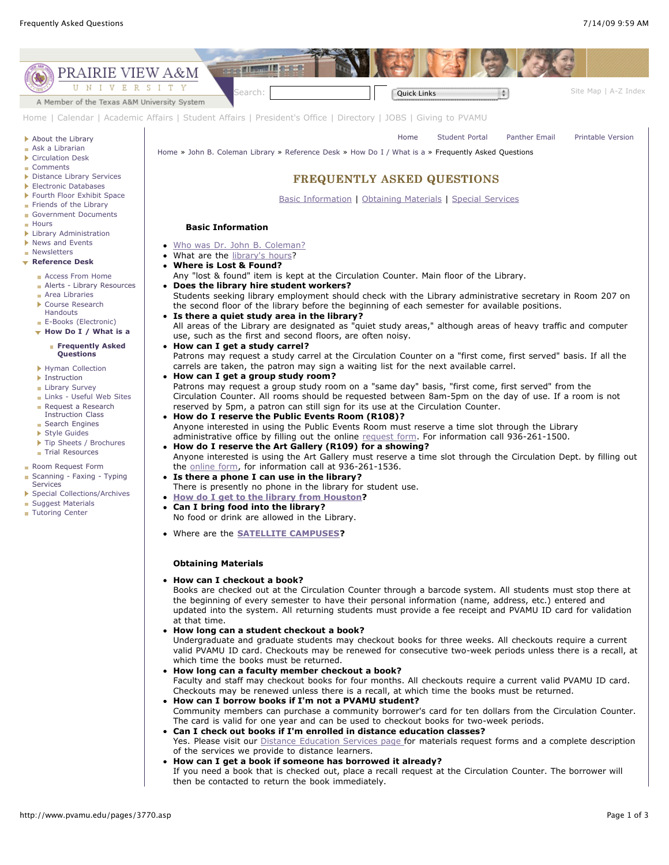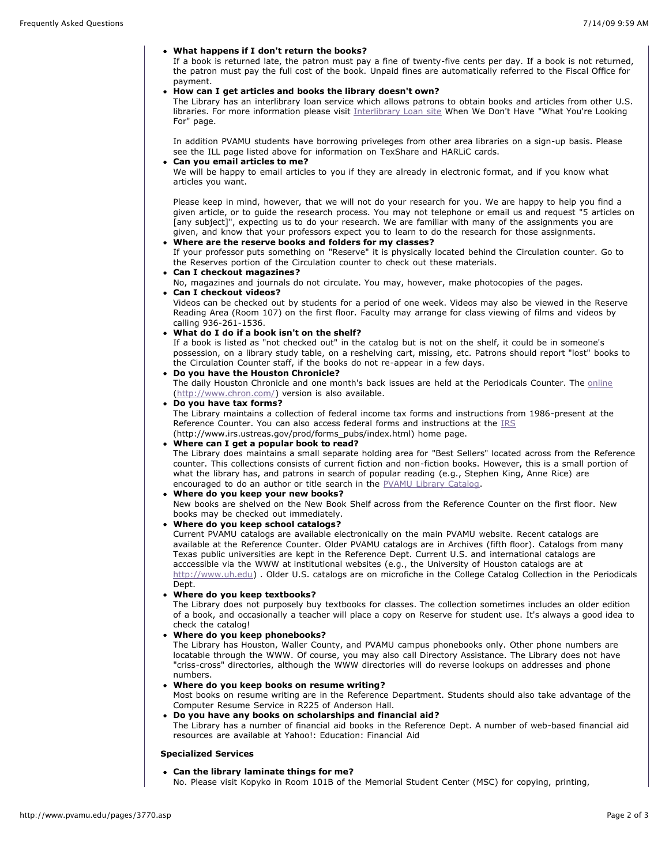#### **What happens if I don't return the books?**

If a book is returned late, the patron must pay a fine of twenty-five cents per day. If a book is not returned, the patron must pay the full cost of the book. Unpaid fines are automatically referred to the Fiscal Office for payment.

#### **How can I get articles and books the library doesn't own?**

The Library has an interlibrary loan service which allows patrons to obtain books and articles from other U.S. libraries. For more information please visit [Interlibrary Loan site](http://www.pvamu.edu/pages/3663.asp) When We Don't Have "What You're Looking For" page.

In addition PVAMU students have borrowing priveleges from other area libraries on a sign-up basis. Please see the ILL page listed above for information on TexShare and HARLiC cards.

#### **Can you email articles to me?**

We will be happy to email articles to you if they are already in electronic format, and if you know what articles you want.

Please keep in mind, however, that we will not do your research for you. We are happy to help you find a given article, or to guide the research process. You may not telephone or email us and request "5 articles on [any subject]", expecting us to do your research. We are familiar with many of the assignments you are given, and know that your professors expect you to learn to do the research for those assignments.

## **Where are the reserve books and folders for my classes?**

If your professor puts something on "Reserve" it is physically located behind the Circulation counter. Go to the Reserves portion of the Circulation counter to check out these materials.

#### **Can I checkout magazines?**

No, magazines and journals do not circulate. You may, however, make photocopies of the pages.

# **Can I checkout videos?**

Videos can be checked out by students for a period of one week. Videos may also be viewed in the Reserve Reading Area (Room 107) on the first floor. Faculty may arrange for class viewing of films and videos by calling 936-261-1536.

## **What do I do if a book isn't on the shelf?**

If a book is listed as "not checked out" in the catalog but is not on the shelf, it could be in someone's possession, on a library study table, on a reshelving cart, missing, etc. Patrons should report "lost" books to the Circulation Counter staff, if the books do not re-appear in a few days.

# **Do you have the Houston Chronicle?**

The daily Houston Chronicle and one month's back issues are held at the Periodicals Counter. The [online](http://www.chron.com/) ([http://www.chron.com/\)](http://www.chron.com/) version is also available.

## **Do you have tax forms?**

The Library maintains a collection of federal income tax forms and instructions from 1986-present at the Reference Counter. You can also access federal forms and instructions at the [IRS](http://www.irs.ustreas.gov/prod/forms_pubs/index.html)

#### (http://www.irs.ustreas.gov/prod/forms\_pubs/index.html) home page. **Where can I get a popular book to read?**

The Library does maintains a small separate holding area for "Best Sellers" located across from the Reference counter. This collections consists of current fiction and non-fiction books. However, this is a small portion of what the library has, and patrons in search of popular reading (e.g., Stephen King, Anne Rice) are encouraged to do an author or title search in the [PVAMU Library Catalog](https://voyager-pv.tamu.edu/).

## **Where do you keep your new books?**

New books are shelved on the New Book Shelf across from the Reference Counter on the first floor. New books may be checked out immediately.

#### **Where do you keep school catalogs?**

Current PVAMU catalogs are available electronically on the main PVAMU website. Recent catalogs are available at the Reference Counter. Older PVAMU catalogs are in Archives (fifth floor). Catalogs from many Texas public universities are kept in the Reference Dept. Current U.S. and international catalogs are acccessible via the WWW at institutional websites (e.g., the University of Houston catalogs are at [http://www.uh.edu\)](http://www.uh.edu/) . Older U.S. catalogs are on microfiche in the College Catalog Collection in the Periodicals Dept.

# **Where do you keep textbooks?**

The Library does not purposely buy textbooks for classes. The collection sometimes includes an older edition of a book, and occasionally a teacher will place a copy on Reserve for student use. It's always a good idea to check the catalog!

#### **Where do you keep phonebooks?**

The Library has Houston, Waller County, and PVAMU campus phonebooks only. Other phone numbers are locatable through the WWW. Of course, you may also call Directory Assistance. The Library does not have "criss-cross" directories, although the WWW directories will do reverse lookups on addresses and phone numbers.

# **Where do you keep books on resume writing?**

Most books on resume writing are in the Reference Department. Students should also take advantage of the Computer Resume Service in R225 of Anderson Hall.

# **Do you have any books on scholarships and financial aid?**

The Library has a number of financial aid books in the Reference Dept. A number of web-based financial aid resources are available at Yahoo!: Education: Financial Aid

## **Specialized Services**

#### **Can the library laminate things for me?**

No. Please visit Kopyko in Room 101B of the Memorial Student Center (MSC) for copying, printing,